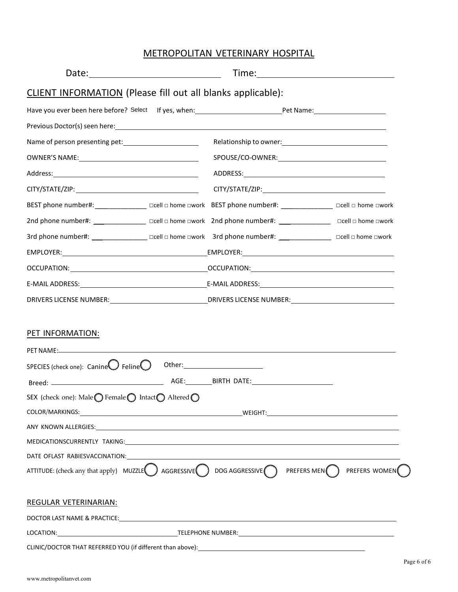## METROPOLITAN VETERINARY HOSPITAL

| <b>CLIENT INFORMATION</b> (Please fill out all blanks applicable):                                                      |                                       |               |
|-------------------------------------------------------------------------------------------------------------------------|---------------------------------------|---------------|
|                                                                                                                         |                                       |               |
|                                                                                                                         |                                       |               |
|                                                                                                                         |                                       |               |
|                                                                                                                         |                                       |               |
|                                                                                                                         |                                       |               |
|                                                                                                                         |                                       |               |
| BEST phone number#: ________________ acell a home awork BEST phone number#: _______________ acell a home awork          |                                       |               |
| 2nd phone number#: ______________________ □cell □ home □work 2nd phone number#: ____________________ □cell □ home □work |                                       |               |
| 3rd phone number#: _______________ acell a home awork 3rd phone number#: _______________ acell a home awork             |                                       |               |
|                                                                                                                         |                                       |               |
|                                                                                                                         |                                       |               |
|                                                                                                                         |                                       |               |
| DRIVERS LICENSE NUMBER: ___________________________________DRIVERS LICENSE NUMBER: ___________________________          |                                       |               |
| PET INFORMATION:<br>SPECIES (check one): $\mathsf{CanineO}$ Feline $\bigcirc$                                           |                                       |               |
| SEX (check one): Male ● Female ● Intact ● Altered ●                                                                     |                                       |               |
|                                                                                                                         |                                       |               |
|                                                                                                                         |                                       |               |
| MEDICATIONSCURRENTLY TAKING: University of the contract of the contract of the contract of the contract of the          |                                       |               |
|                                                                                                                         |                                       |               |
| ATTITUDE: (check any that apply) $MUZZLE$ $\Box$ AGGRESSIVE $\Box$                                                      | DOG AGGRESSIVE PREFERS MEN $\bigcirc$ | PREFERS WOMEN |
| REGULAR VETERINARIAN:                                                                                                   |                                       |               |
|                                                                                                                         |                                       |               |
|                                                                                                                         |                                       |               |
|                                                                                                                         |                                       |               |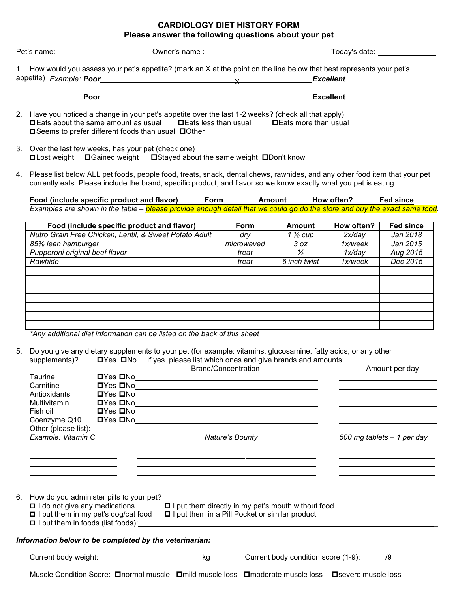### **CARDIOLOGY DIET HISTORY FORM Please answer the following questions about your pet**

| Pet's name:             | Owner's name :                                                                                     | Today's date:                                                                                                          |
|-------------------------|----------------------------------------------------------------------------------------------------|------------------------------------------------------------------------------------------------------------------------|
|                         |                                                                                                    | 1. How would you assess your pet's appetite? (mark an X at the point on the line below that best represents your pet's |
| appetite) Example: Poor |                                                                                                    | <b>Excellent</b>                                                                                                       |
|                         | Poor                                                                                               | <b>Excellent</b>                                                                                                       |
|                         | 2 Have you noticed a change in your pet's appetite over the last 1-2 weeks? (check all that apply) |                                                                                                                        |

- 2. Have you noticed a change in your pet's appetite over the last 1-2 weeks? (check all that apply)  $\Box$  Eats about the same amount as usual  $\Box$  Eats less than usual  $\Box$  Eats more than usual □ Seems to prefer different foods than usual □ Other
- 3. Over the last few weeks, has your pet (check one)  $\square$  Lost weight  $\square$  Gained weight  $\square$  Stayed about the same weight  $\square$  Don't know
- 4. Please list below ALL pet foods, people food, treats, snack, dental chews, rawhides, and any other food item that your pet currently eats. Please include the brand, specific product, and flavor so we know exactly what you pet is eating.

**Food (include specific product and flavor) Form Amount How often? Fed since** Examples are shown in the table – <mark>please provide enough detail that we could go do the store and buy the exact same food</mark>.

| Food (include specific product and flavor)             | <b>Form</b> | Amount              | How often? | <b>Fed since</b> |
|--------------------------------------------------------|-------------|---------------------|------------|------------------|
| Nutro Grain Free Chicken, Lentil, & Sweet Potato Adult | dry         | 1 $\frac{1}{2}$ cup | 2x/day     | Jan 2018         |
| 85% lean hamburger                                     | microwaved  | 3 oz                | 1x/week    | Jan 2015         |
| Pupperoni original beef flavor                         | treat       | ⅓                   | 1x/day     | Aug 2015         |
| Rawhide                                                | treat       | 6 inch twist        | 1x/week    | Dec 2015         |
|                                                        |             |                     |            |                  |
|                                                        |             |                     |            |                  |
|                                                        |             |                     |            |                  |
|                                                        |             |                     |            |                  |
|                                                        |             |                     |            |                  |
|                                                        |             |                     |            |                  |
|                                                        |             |                     |            |                  |

*\*Any additional diet information can be listed on the back of this sheet*

5. Do you give any dietary supplements to your pet (for example: vitamins, glucosamine, fatty acids, or any other supplements)?  $\square Y$ es  $\square N$ o If yes, please list which ones and give brands and amounts:  $\Box$  Yes  $\Box$  No If yes, please list which ones and give brands and amounts:

|    |                                                                                 |  | <b>Brand/Concentration</b>                                                                                                                                                                                                    |                                                                                                            | Amount per day                                                                                                                                                                                                                       |
|----|---------------------------------------------------------------------------------|--|-------------------------------------------------------------------------------------------------------------------------------------------------------------------------------------------------------------------------------|------------------------------------------------------------------------------------------------------------|--------------------------------------------------------------------------------------------------------------------------------------------------------------------------------------------------------------------------------------|
|    | Taurine                                                                         |  |                                                                                                                                                                                                                               | $\blacksquare$ Yes $\blacksquare$ No                                                                       |                                                                                                                                                                                                                                      |
|    | Carnitine                                                                       |  |                                                                                                                                                                                                                               | <b>Dives DNo</b>                                                                                           | the control of the control of the control of the control of the control of the control of                                                                                                                                            |
|    | Antioxidants                                                                    |  |                                                                                                                                                                                                                               |                                                                                                            | <u> Andreas Andreas Andreas Andreas Andreas Andreas Andreas Andreas Andreas Andreas Andreas Andreas Andreas Andreas Andreas Andreas Andreas Andreas Andreas Andreas Andreas Andreas Andreas Andreas Andreas Andreas Andreas Andr</u> |
|    | Multivitamin                                                                    |  |                                                                                                                                                                                                                               |                                                                                                            | <u> 1989 - Johann Barn, amerikansk politiker (</u>                                                                                                                                                                                   |
|    | Fish oil                                                                        |  |                                                                                                                                                                                                                               | $\blacksquare$ Yes $\blacksquare$ No $\blacksquare$                                                        | the contract of the contract of the contract of the contract of the contract of                                                                                                                                                      |
|    |                                                                                 |  |                                                                                                                                                                                                                               | Coenzyme Q10 DYes DNo 2020                                                                                 |                                                                                                                                                                                                                                      |
|    | Other (please list):                                                            |  |                                                                                                                                                                                                                               |                                                                                                            |                                                                                                                                                                                                                                      |
|    | Example: Vitamin C                                                              |  | Nature's Bounty                                                                                                                                                                                                               |                                                                                                            | 500 mg tablets - 1 per day                                                                                                                                                                                                           |
|    |                                                                                 |  | and the control of the control of the control of the control of the control of the control of the control of the                                                                                                              |                                                                                                            |                                                                                                                                                                                                                                      |
|    | the contract of the contract of the contract of the contract of the contract of |  |                                                                                                                                                                                                                               |                                                                                                            | the control of the control of the control of the control of the control of the control of                                                                                                                                            |
|    | <u> 1989 - Johann Stoff, Amerikaansk politiker (</u>                            |  |                                                                                                                                                                                                                               | <u> 1989 - Johann Stoff, amerikansk politiker (* 1908)</u>                                                 | <u> 1980 - Johann Barbara, martxa alemaniar a</u>                                                                                                                                                                                    |
|    |                                                                                 |  | the control of the control of the control of the control of the control of the control of the control of the control of the control of the control of the control of the control of the control of the control of the control |                                                                                                            | the control of the control of the control of the control of the control of the control of                                                                                                                                            |
|    |                                                                                 |  |                                                                                                                                                                                                                               |                                                                                                            |                                                                                                                                                                                                                                      |
|    |                                                                                 |  |                                                                                                                                                                                                                               |                                                                                                            |                                                                                                                                                                                                                                      |
| 6. | How do you administer pills to your pet?                                        |  |                                                                                                                                                                                                                               |                                                                                                            |                                                                                                                                                                                                                                      |
|    |                                                                                 |  |                                                                                                                                                                                                                               | □ I do not give any medications □ I put them directly in my pet's mouth without food                       |                                                                                                                                                                                                                                      |
|    |                                                                                 |  |                                                                                                                                                                                                                               | □ I put them in my pet's dog/cat food □ I put them in a Pill Pocket or similar product                     |                                                                                                                                                                                                                                      |
|    |                                                                                 |  |                                                                                                                                                                                                                               |                                                                                                            |                                                                                                                                                                                                                                      |
|    |                                                                                 |  |                                                                                                                                                                                                                               |                                                                                                            |                                                                                                                                                                                                                                      |
|    | Information below to be completed by the veterinarian:                          |  |                                                                                                                                                                                                                               |                                                                                                            |                                                                                                                                                                                                                                      |
|    |                                                                                 |  |                                                                                                                                                                                                                               |                                                                                                            |                                                                                                                                                                                                                                      |
|    | Current body weight:<br><u>Current</u> body weight:                             |  |                                                                                                                                                                                                                               | Current body condition score (1-9): /9                                                                     |                                                                                                                                                                                                                                      |
|    |                                                                                 |  |                                                                                                                                                                                                                               |                                                                                                            |                                                                                                                                                                                                                                      |
|    |                                                                                 |  |                                                                                                                                                                                                                               | Muscle Condition Score: <b>Onormal muscle Omild muscle loss Omoderate muscle loss Ostevere muscle loss</b> |                                                                                                                                                                                                                                      |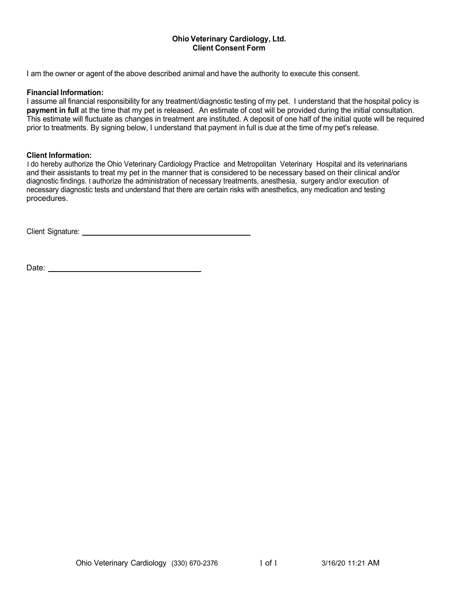### **Ohio Veterinary Cardiology, Ltd. Client Consent Form**

I am the owner or agent of the above described animal and have the authority to execute this consent.

### **Financial Information:**

I assume all financial responsibility for any treatment/diagnostic testing of my pet. I understand that the hospital policy is **payment in full** at the time that my pet is released. An estimate of cost will be provided during the initial consultation. This estimate will fluctuate as changes in treatment are instituted. A deposit of one half of the initial quote will be required prior to treatments. By signing below, I understand that payment in full is due at the time of my pet's release.

#### **Client Information:**

I do hereby authorize the Ohio Veterinary Cardiology Practice and Metropolitan Veterinary Hospital and its veterinarians and their assistants to treat my pet in the manner that is considered to be necessary based on their clinical and/or diagnostic findings. I authorize the administration of necessary treatments, anesthesia, surgery and/or execution of necessary diagnostic tests and understand that there are certain risks with anesthetics, any medication and testing procedures.

Client Signature: We have a state of the state of the state of the state of the state of the state of the state of the state of the state of the state of the state of the state of the state of the state of the state of the

Date: